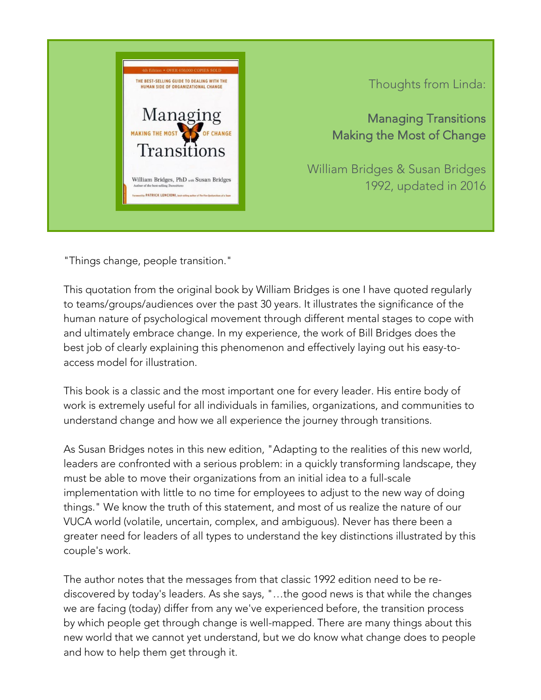

Thoughts from Linda:

Managing Transitions Making the Most of Change

William Bridges & Susan Bridges 1992, updated in 2016

"Things change, people transition."

This quotation from the original book by William Bridges is one I have quoted regularly to teams/groups/audiences over the past 30 years. It illustrates the significance of the human nature of psychological movement through different mental stages to cope with and ultimately embrace change. In my experience, the work of Bill Bridges does the best job of clearly explaining this phenomenon and effectively laying out his easy-toaccess model for illustration.

This book is a classic and the most important one for every leader. His entire body of work is extremely useful for all individuals in families, organizations, and communities to understand change and how we all experience the journey through transitions.

As Susan Bridges notes in this new edition, "Adapting to the realities of this new world, leaders are confronted with a serious problem: in a quickly transforming landscape, they must be able to move their organizations from an initial idea to a full-scale implementation with little to no time for employees to adjust to the new way of doing things." We know the truth of this statement, and most of us realize the nature of our VUCA world (volatile, uncertain, complex, and ambiguous). Never has there been a greater need for leaders of all types to understand the key distinctions illustrated by this couple's work.

The author notes that the messages from that classic 1992 edition need to be rediscovered by today's leaders. As she says, "…the good news is that while the changes we are facing (today) differ from any we've experienced before, the transition process by which people get through change is well-mapped. There are many things about this new world that we cannot yet understand, but we do know what change does to people and how to help them get through it.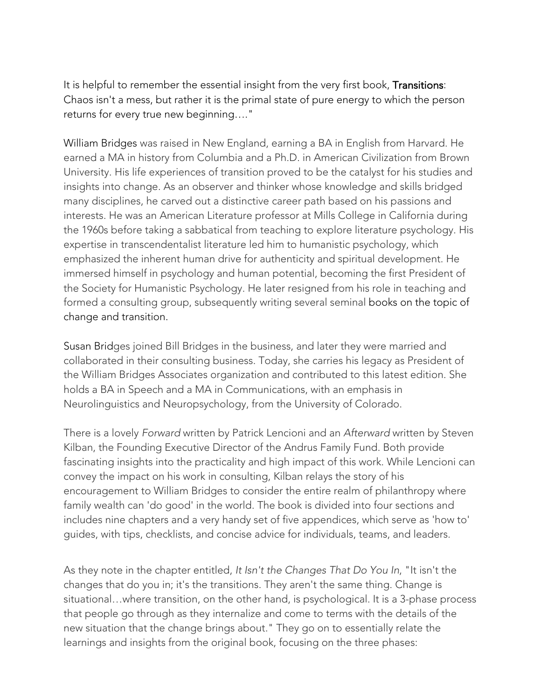It is helpful to remember the essential insight from the very first book, Transitions: Chaos isn't a mess, but rather it is the primal state of pure energy to which the person returns for every true new beginning…."

William Bridges was raised in New England, earning a BA in English from Harvard. He earned a MA in history from Columbia and a Ph.D. in American Civilization from Brown University. His life experiences of transition proved to be the catalyst for his studies and insights into change. As an observer and thinker whose knowledge and skills bridged many disciplines, he carved out a distinctive career path based on his passions and interests. He was an American Literature professor at Mills College in California during the 1960s before taking a sabbatical from teaching to explore literature psychology. His expertise in transcendentalist literature led him to humanistic psychology, which emphasized the inherent human drive for authenticity and spiritual development. He immersed himself in psychology and human potential, becoming the first President of the Society for Humanistic Psychology. He later resigned from his role in teaching and formed a consulting group, subsequently writing several seminal books on the topic of change and transition.

Susan Bridges joined Bill Bridges in the business, and later they were married and collaborated in their consulting business. Today, she carries his legacy as President of the William Bridges Associates organization and contributed to this latest edition. She holds a BA in Speech and a MA in Communications, with an emphasis in Neurolinguistics and Neuropsychology, from the University of Colorado.

There is a lovely *Forward* written by Patrick Lencioni and an *Afterward* written by Steven Kilban, the Founding Executive Director of the Andrus Family Fund. Both provide fascinating insights into the practicality and high impact of this work. While Lencioni can convey the impact on his work in consulting, Kilban relays the story of his encouragement to William Bridges to consider the entire realm of philanthropy where family wealth can 'do good' in the world. The book is divided into four sections and includes nine chapters and a very handy set of five appendices, which serve as 'how to' guides, with tips, checklists, and concise advice for individuals, teams, and leaders.

As they note in the chapter entitled, *It Isn't the Changes That Do You In*, "It isn't the changes that do you in; it's the transitions. They aren't the same thing. Change is situational…where transition, on the other hand, is psychological. It is a 3-phase process that people go through as they internalize and come to terms with the details of the new situation that the change brings about." They go on to essentially relate the learnings and insights from the original book, focusing on the three phases: